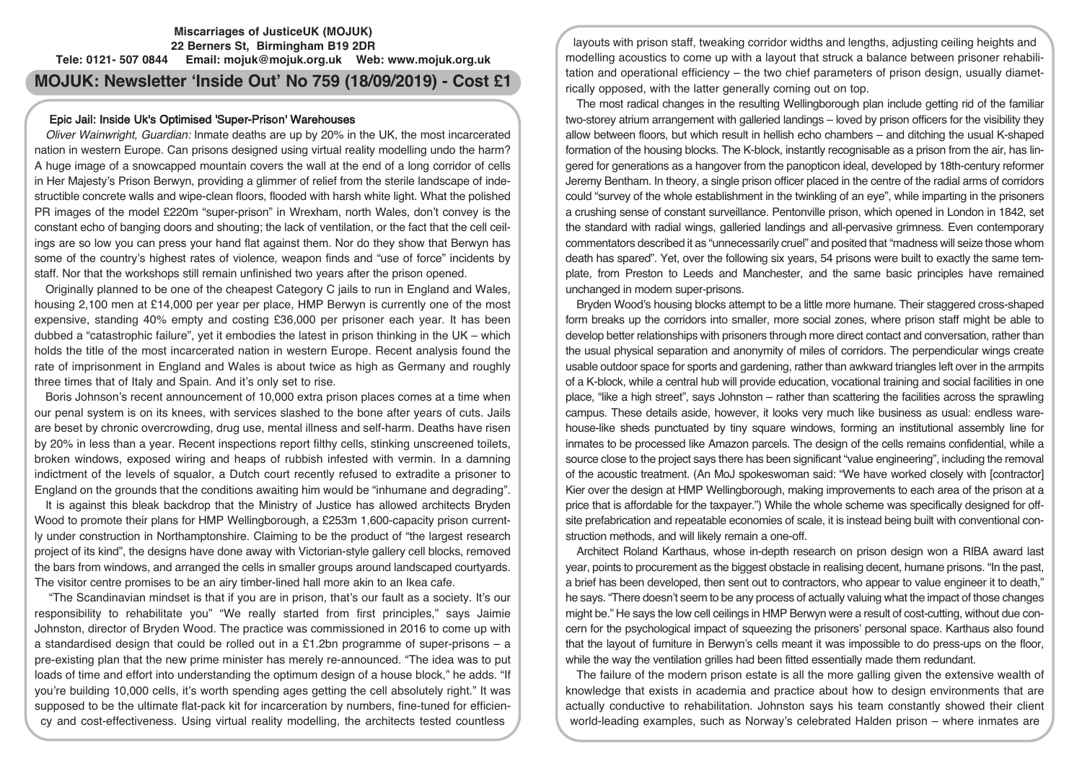# **Miscarriages of JusticeUK (MOJUK) 22 Berners St, Birmingham B19 2DR Tele: 0121- 507 0844 Email: mojuk@mojuk.org.uk Web: www.mojuk.org.uk**

# **MOJUK: Newsletter 'Inside Out' No 759 (18/09/2019) - Cost £1**

# Epic Jail: Inside Uk's Optimised 'Super-Prison' Warehouses

Oliver Wainwright, Guardian: Inmate deaths are up by 20% in the UK, the most incarcerated nation in western Europe. Can prisons designed using virtual reality modelling undo the harm? A huge image of a snowcapped mountain covers the wall at the end of a long corridor of cells in Her Majesty's Prison Berwyn, providing a glimmer of relief from the sterile landscape of indestructible concrete walls and wipe-clean floors, flooded with harsh white light. What the polished PR images of the model £220m "super-prison" in Wrexham, north Wales, don't convey is the constant echo of banging doors and shouting; the lack of ventilation, or the fact that the cell ceilings are so low you can press your hand flat against them. Nor do they show that Berwyn has some of the country's highest rates of violence, weapon finds and "use of force" incidents by staff. Nor that the workshops still remain unfinished two years after the prison opened.

Originally planned to be one of the cheapest Category C jails to run in England and Wales, housing 2,100 men at £14,000 per year per place, HMP Berwyn is currently one of the most expensive, standing 40% empty and costing £36,000 per prisoner each year. It has been dubbed a "catastrophic failure", yet it embodies the latest in prison thinking in the UK – which holds the title of the most incarcerated nation in western Europe. Recent analysis found the rate of imprisonment in England and Wales is about twice as high as Germany and roughly three times that of Italy and Spain. And it's only set to rise.

Boris Johnson's recent announcement of 10,000 extra prison places comes at a time when our penal system is on its knees, with services slashed to the bone after years of cuts. Jails are beset by chronic overcrowding, drug use, mental illness and self-harm. Deaths have risen by 20% in less than a year. Recent inspections report filthy cells, stinking unscreened toilets, broken windows, exposed wiring and heaps of rubbish infested with vermin. In a damning indictment of the levels of squalor, a Dutch court recently refused to extradite a prisoner to England on the grounds that the conditions awaiting him would be "inhumane and degrading".

It is against this bleak backdrop that the Ministry of Justice has allowed architects Bryden Wood to promote their plans for HMP Wellingborough, a £253m 1,600-capacity prison currently under construction in Northamptonshire. Claiming to be the product of "the largest research project of its kind", the designs have done away with Victorian-style gallery cell blocks, removed the bars from windows, and arranged the cells in smaller groups around landscaped courtyards. The visitor centre promises to be an airy timber-lined hall more akin to an Ikea cafe.

"The Scandinavian mindset is that if you are in prison, that's our fault as a society. It's our responsibility to rehabilitate you" "We really started from first principles," says Jaimie Johnston, director of Bryden Wood. The practice was commissioned in 2016 to come up with a standardised design that could be rolled out in a £1.2bn programme of super-prisons – a pre-existing plan that the new prime minister has merely re-announced. "The idea was to put loads of time and effort into understanding the optimum design of a house block," he adds. "If you're building 10,000 cells, it's worth spending ages getting the cell absolutely right." It was supposed to be the ultimate flat-pack kit for incarceration by numbers, fine-tuned for efficiency and cost-effectiveness. Using virtual reality modelling, the architects tested countless

layouts with prison staff, tweaking corridor widths and lengths, adjusting ceiling heights and modelling acoustics to come up with a layout that struck a balance between prisoner rehabilitation and operational efficiency – the two chief parameters of prison design, usually diametrically opposed, with the latter generally coming out on top.

The most radical changes in the resulting Wellingborough plan include getting rid of the familiar two-storey atrium arrangement with galleried landings – loved by prison officers for the visibility they allow between floors, but which result in hellish echo chambers – and ditching the usual K-shaped formation of the housing blocks. The K-block, instantly recognisable as a prison from the air, has lingered for generations as a hangover from the panopticon ideal, developed by 18th-century reformer Jeremy Bentham. In theory, a single prison officer placed in the centre of the radial arms of corridors could "survey of the whole establishment in the twinkling of an eye", while imparting in the prisoners a crushing sense of constant surveillance. Pentonville prison, which opened in London in 1842, set the standard with radial wings, galleried landings and all-pervasive grimness. Even contemporary commentators described it as "unnecessarily cruel" and posited that "madness will seize those whom death has spared". Yet, over the following six years, 54 prisons were built to exactly the same template, from Preston to Leeds and Manchester, and the same basic principles have remained unchanged in modern super-prisons.

Bryden Wood's housing blocks attempt to be a little more humane. Their staggered cross-shaped form breaks up the corridors into smaller, more social zones, where prison staff might be able to develop better relationships with prisoners through more direct contact and conversation, rather than the usual physical separation and anonymity of miles of corridors. The perpendicular wings create usable outdoor space for sports and gardening, rather than awkward triangles left over in the armpits of a K-block, while a central hub will provide education, vocational training and social facilities in one place, "like a high street", says Johnston – rather than scattering the facilities across the sprawling campus. These details aside, however, it looks very much like business as usual: endless warehouse-like sheds punctuated by tiny square windows, forming an institutional assembly line for inmates to be processed like Amazon parcels. The design of the cells remains confidential, while a source close to the project says there has been significant "value engineering", including the removal of the acoustic treatment. (An MoJ spokeswoman said: "We have worked closely with [contractor] Kier over the design at HMP Wellingborough, making improvements to each area of the prison at a price that is affordable for the taxpayer.") While the whole scheme was specifically designed for offsite prefabrication and repeatable economies of scale, it is instead being built with conventional construction methods, and will likely remain a one-off.

Architect Roland Karthaus, whose in-depth research on prison design won a RIBA award last year, points to procurement as the biggest obstacle in realising decent, humane prisons. "In the past, a brief has been developed, then sent out to contractors, who appear to value engineer it to death," he says. "There doesn't seem to be any process of actually valuing what the impact of those changes might be." He says the low cell ceilings in HMP Berwyn were a result of cost-cutting, without due concern for the psychological impact of squeezing the prisoners' personal space. Karthaus also found that the layout of furniture in Berwyn's cells meant it was impossible to do press-ups on the floor, while the way the ventilation grilles had been fitted essentially made them redundant.

The failure of the modern prison estate is all the more galling given the extensive wealth of knowledge that exists in academia and practice about how to design environments that are actually conductive to rehabilitation. Johnston says his team constantly showed their client world-leading examples, such as Norway's celebrated Halden prison – where inmates are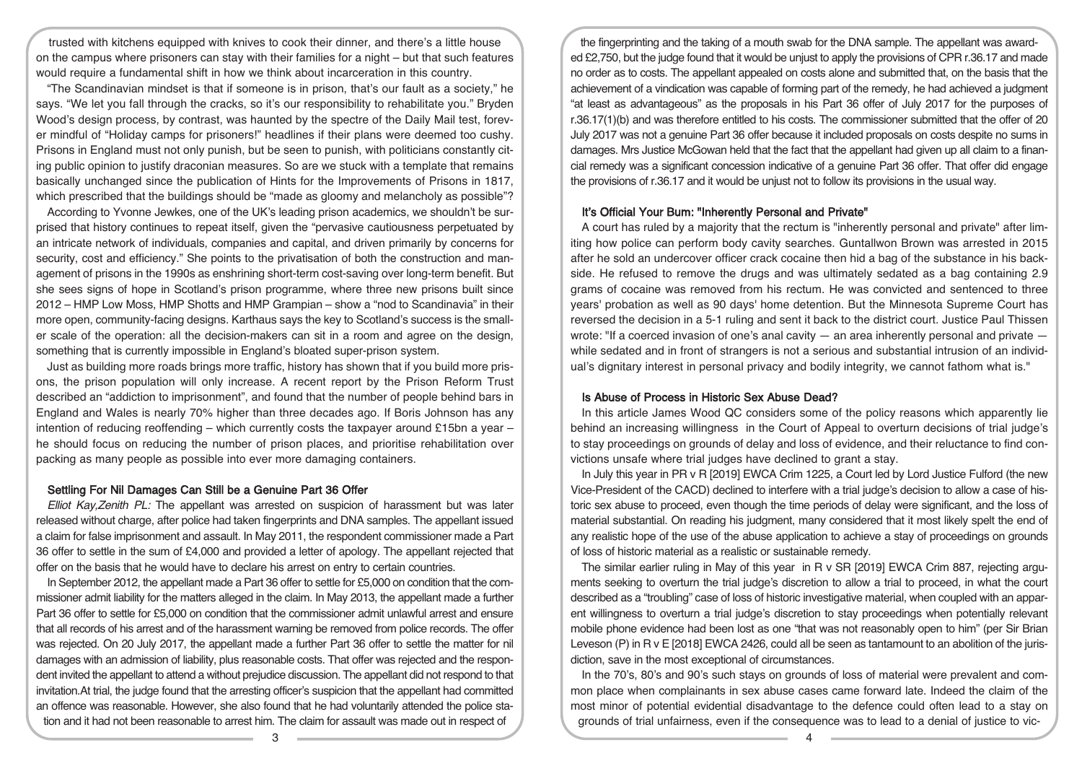trusted with kitchens equipped with knives to cook their dinner, and there's a little house on the campus where prisoners can stay with their families for a night – but that such features would require a fundamental shift in how we think about incarceration in this country.

"The Scandinavian mindset is that if someone is in prison, that's our fault as a society," he says. "We let you fall through the cracks, so it's our responsibility to rehabilitate you." Bryden Wood's design process, by contrast, was haunted by the spectre of the Daily Mail test, forever mindful of "Holiday camps for prisoners!" headlines if their plans were deemed too cushy. Prisons in England must not only punish, but be seen to punish, with politicians constantly citing public opinion to justify draconian measures. So are we stuck with a template that remains basically unchanged since the publication of Hints for the Improvements of Prisons in 1817, which prescribed that the buildings should be "made as gloomy and melancholy as possible"?

According to Yvonne Jewkes, one of the UK's leading prison academics, we shouldn't be surprised that history continues to repeat itself, given the "pervasive cautiousness perpetuated by an intricate network of individuals, companies and capital, and driven primarily by concerns for security, cost and efficiency." She points to the privatisation of both the construction and management of prisons in the 1990s as enshrining short-term cost-saving over long-term benefit. But she sees signs of hope in Scotland's prison programme, where three new prisons built since 2012 – HMP Low Moss, HMP Shotts and HMP Grampian – show a "nod to Scandinavia" in their more open, community-facing designs. Karthaus says the key to Scotland's success is the smaller scale of the operation: all the decision-makers can sit in a room and agree on the design, something that is currently impossible in England's bloated super-prison system.

Just as building more roads brings more traffic, history has shown that if you build more prisons, the prison population will only increase. A recent report by the Prison Reform Trust described an "addiction to imprisonment", and found that the number of people behind bars in England and Wales is nearly 70% higher than three decades ago. If Boris Johnson has any intention of reducing reoffending – which currently costs the taxpayer around £15bn a year – he should focus on reducing the number of prison places, and prioritise rehabilitation over packing as many people as possible into ever more damaging containers.

# Settling For Nil Damages Can Still be a Genuine Part 36 Offer

Elliot Kay, Zenith PL: The appellant was arrested on suspicion of harassment but was later released without charge, after police had taken fingerprints and DNA samples. The appellant issued a claim for false imprisonment and assault. In May 2011, the respondent commissioner made a Part 36 offer to settle in the sum of £4,000 and provided a letter of apology. The appellant rejected that offer on the basis that he would have to declare his arrest on entry to certain countries.

In September 2012, the appellant made a Part 36 offer to settle for £5,000 on condition that the commissioner admit liability for the matters alleged in the claim. In May 2013, the appellant made a further Part 36 offer to settle for £5,000 on condition that the commissioner admit unlawful arrest and ensure that all records of his arrest and of the harassment warning be removed from police records. The offer was rejected. On 20 July 2017, the appellant made a further Part 36 offer to settle the matter for nil damages with an admission of liability, plus reasonable costs. That offer was rejected and the respondent invited the appellant to attend a without prejudice discussion. The appellant did not respond to that invitation.At trial, the judge found that the arresting officer's suspicion that the appellant had committed an offence was reasonable. However, she also found that he had voluntarily attended the police station and it had not been reasonable to arrest him. The claim for assault was made out in respect of

the fingerprinting and the taking of a mouth swab for the DNA sample. The appellant was awarded £2,750, but the judge found that it would be unjust to apply the provisions of CPR r.36.17 and made no order as to costs. The appellant appealed on costs alone and submitted that, on the basis that the achievement of a vindication was capable of forming part of the remedy, he had achieved a judgment "at least as advantageous" as the proposals in his Part 36 offer of July 2017 for the purposes of r.36.17(1)(b) and was therefore entitled to his costs. The commissioner submitted that the offer of 20 July 2017 was not a genuine Part 36 offer because it included proposals on costs despite no sums in damages. Mrs Justice McGowan held that the fact that the appellant had given up all claim to a financial remedy was a significant concession indicative of a genuine Part 36 offer. That offer did engage the provisions of r.36.17 and it would be unjust not to follow its provisions in the usual way.

# It's Official Your Bum: "Inherently Personal and Private"

A court has ruled by a majority that the rectum is "inherently personal and private" after limiting how police can perform body cavity searches. Guntallwon Brown was arrested in 2015 after he sold an undercover officer crack cocaine then hid a bag of the substance in his backside. He refused to remove the drugs and was ultimately sedated as a bag containing 2.9 grams of cocaine was removed from his rectum. He was convicted and sentenced to three years' probation as well as 90 days' home detention. But the Minnesota Supreme Court has reversed the decision in a 5-1 ruling and sent it back to the district court. Justice Paul Thissen wrote: "If a coerced invasion of one's anal cavity  $-$  an area inherently personal and private  $$ while sedated and in front of strangers is not a serious and substantial intrusion of an individual's dignitary interest in personal privacy and bodily integrity, we cannot fathom what is."

# Is Abuse of Process in Historic Sex Abuse Dead?

In this article James Wood QC considers some of the policy reasons which apparently lie behind an increasing willingness in the Court of Appeal to overturn decisions of trial judge's to stay proceedings on grounds of delay and loss of evidence, and their reluctance to find convictions unsafe where trial judges have declined to grant a stay.

In July this year in PR v R [2019] EWCA Crim 1225, a Court led by Lord Justice Fulford (the new Vice-President of the CACD) declined to interfere with a trial judge's decision to allow a case of historic sex abuse to proceed, even though the time periods of delay were significant, and the loss of material substantial. On reading his judgment, many considered that it most likely spelt the end of any realistic hope of the use of the abuse application to achieve a stay of proceedings on grounds of loss of historic material as a realistic or sustainable remedy.

The similar earlier ruling in May of this year in R v SR [2019] EWCA Crim 887, rejecting arguments seeking to overturn the trial judge's discretion to allow a trial to proceed, in what the court described as a "troubling" case of loss of historic investigative material, when coupled with an apparent willingness to overturn a trial judge's discretion to stay proceedings when potentially relevant mobile phone evidence had been lost as one "that was not reasonably open to him" (per Sir Brian Leveson (P) in R v E [2018] EWCA 2426, could all be seen as tantamount to an abolition of the jurisdiction, save in the most exceptional of circumstances.

In the 70's, 80's and 90's such stays on grounds of loss of material were prevalent and common place when complainants in sex abuse cases came forward late. Indeed the claim of the most minor of potential evidential disadvantage to the defence could often lead to a stay on grounds of trial unfairness, even if the consequence was to lead to a denial of justice to vic-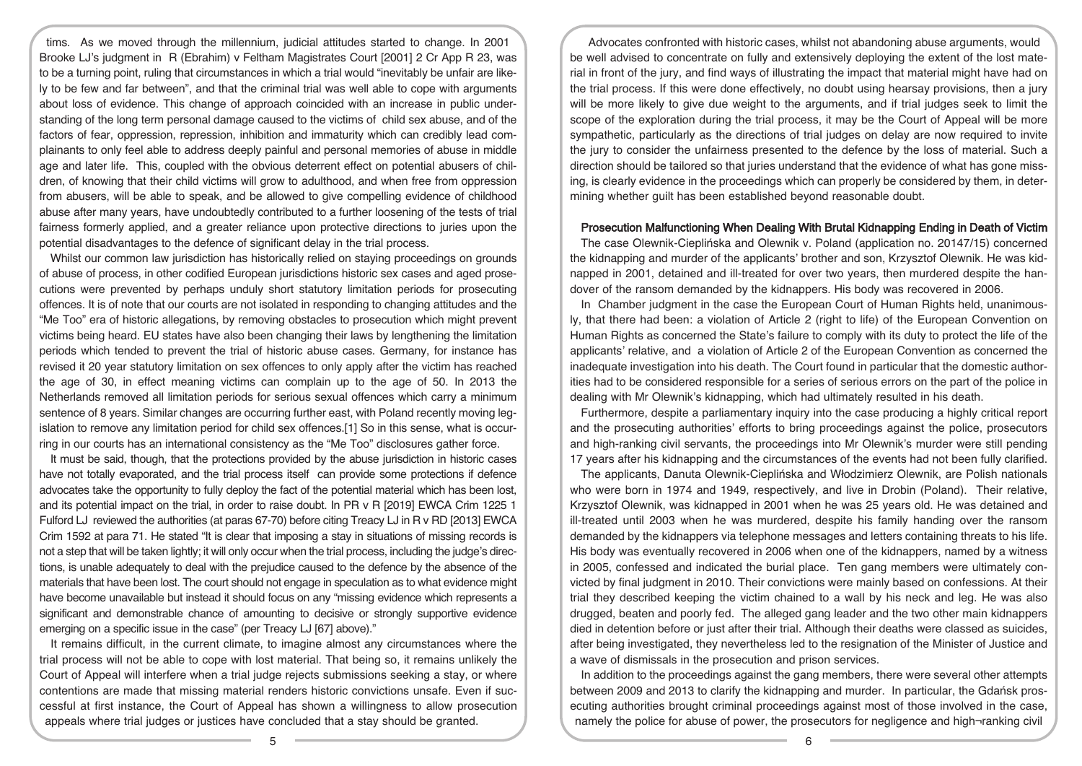tims. As we moved through the millennium, judicial attitudes started to change. In 2001 Brooke LJ's judgment in R (Ebrahim) v Feltham Magistrates Court [2001] 2 Cr App R 23, was to be a turning point, ruling that circumstances in which a trial would "inevitably be unfair are likely to be few and far between", and that the criminal trial was well able to cope with arguments about loss of evidence. This change of approach coincided with an increase in public understanding of the long term personal damage caused to the victims of child sex abuse, and of the factors of fear, oppression, repression, inhibition and immaturity which can credibly lead complainants to only feel able to address deeply painful and personal memories of abuse in middle age and later life. This, coupled with the obvious deterrent effect on potential abusers of children, of knowing that their child victims will grow to adulthood, and when free from oppression from abusers, will be able to speak, and be allowed to give compelling evidence of childhood abuse after many years, have undoubtedly contributed to a further loosening of the tests of trial fairness formerly applied, and a greater reliance upon protective directions to juries upon the potential disadvantages to the defence of significant delay in the trial process.

Whilst our common law jurisdiction has historically relied on staying proceedings on grounds of abuse of process, in other codified European jurisdictions historic sex cases and aged prosecutions were prevented by perhaps unduly short statutory limitation periods for prosecuting offences. It is of note that our courts are not isolated in responding to changing attitudes and the "Me Too" era of historic allegations, by removing obstacles to prosecution which might prevent victims being heard. EU states have also been changing their laws by lengthening the limitation periods which tended to prevent the trial of historic abuse cases. Germany, for instance has revised it 20 year statutory limitation on sex offences to only apply after the victim has reached the age of 30, in effect meaning victims can complain up to the age of 50. In 2013 the Netherlands removed all limitation periods for serious sexual offences which carry a minimum sentence of 8 years. Similar changes are occurring further east, with Poland recently moving legislation to remove any limitation period for child sex offences.[1] So in this sense, what is occurring in our courts has an international consistency as the "Me Too" disclosures gather force.

It must be said, though, that the protections provided by the abuse jurisdiction in historic cases have not totally evaporated, and the trial process itself can provide some protections if defence advocates take the opportunity to fully deploy the fact of the potential material which has been lost, and its potential impact on the trial, in order to raise doubt. In PR v R [2019] EWCA Crim 1225 1 Fulford LJ reviewed the authorities (at paras 67-70) before citing Treacy LJ in R v RD [2013] EWCA Crim 1592 at para 71. He stated "It is clear that imposing a stay in situations of missing records is not a step that will be taken lightly; it will only occur when the trial process, including the judge's directions, is unable adequately to deal with the prejudice caused to the defence by the absence of the materials that have been lost. The court should not engage in speculation as to what evidence might have become unavailable but instead it should focus on any "missing evidence which represents a significant and demonstrable chance of amounting to decisive or strongly supportive evidence emerging on a specific issue in the case" (per Treacy LJ [67] above)."

It remains difficult, in the current climate, to imagine almost any circumstances where the trial process will not be able to cope with lost material. That being so, it remains unlikely the Court of Appeal will interfere when a trial judge rejects submissions seeking a stay, or where contentions are made that missing material renders historic convictions unsafe. Even if successful at first instance, the Court of Appeal has shown a willingness to allow prosecution appeals where trial judges or justices have concluded that a stay should be granted.

Advocates confronted with historic cases, whilst not abandoning abuse arguments, would be well advised to concentrate on fully and extensively deploying the extent of the lost material in front of the jury, and find ways of illustrating the impact that material might have had on the trial process. If this were done effectively, no doubt using hearsay provisions, then a jury will be more likely to give due weight to the arguments, and if trial judges seek to limit the scope of the exploration during the trial process, it may be the Court of Appeal will be more sympathetic, particularly as the directions of trial judges on delay are now required to invite the jury to consider the unfairness presented to the defence by the loss of material. Such a direction should be tailored so that juries understand that the evidence of what has gone missing, is clearly evidence in the proceedings which can properly be considered by them, in determining whether guilt has been established beyond reasonable doubt.

# Prosecution Malfunctioning When Dealing With Brutal Kidnapping Ending in Death of Victim

The case Olewnik-Cieplińska and Olewnik v. Poland (application no. 20147/15) concerned the kidnapping and murder of the applicants' brother and son, Krzysztof Olewnik. He was kidnapped in 2001, detained and ill-treated for over two years, then murdered despite the handover of the ransom demanded by the kidnappers. His body was recovered in 2006.

In Chamber judgment in the case the European Court of Human Rights held, unanimously, that there had been: a violation of Article 2 (right to life) of the European Convention on Human Rights as concerned the State's failure to comply with its duty to protect the life of the applicants' relative, and a violation of Article 2 of the European Convention as concerned the inadequate investigation into his death. The Court found in particular that the domestic authorities had to be considered responsible for a series of serious errors on the part of the police in dealing with Mr Olewnik's kidnapping, which had ultimately resulted in his death.

Furthermore, despite a parliamentary inquiry into the case producing a highly critical report and the prosecuting authorities' efforts to bring proceedings against the police, prosecutors and high-ranking civil servants, the proceedings into Mr Olewnik's murder were still pending 17 years after his kidnapping and the circumstances of the events had not been fully clarified.

The applicants, Danuta Olewnik-Cieplińska and Włodzimierz Olewnik, are Polish nationals who were born in 1974 and 1949, respectively, and live in Drobin (Poland). Their relative, Krzysztof Olewnik, was kidnapped in 2001 when he was 25 years old. He was detained and ill-treated until 2003 when he was murdered, despite his family handing over the ransom demanded by the kidnappers via telephone messages and letters containing threats to his life. His body was eventually recovered in 2006 when one of the kidnappers, named by a witness in 2005, confessed and indicated the burial place. Ten gang members were ultimately convicted by final judgment in 2010. Their convictions were mainly based on confessions. At their trial they described keeping the victim chained to a wall by his neck and leg. He was also drugged, beaten and poorly fed. The alleged gang leader and the two other main kidnappers died in detention before or just after their trial. Although their deaths were classed as suicides, after being investigated, they nevertheless led to the resignation of the Minister of Justice and a wave of dismissals in the prosecution and prison services.

In addition to the proceedings against the gang members, there were several other attempts between 2009 and 2013 to clarify the kidnapping and murder. In particular, the Gdańsk prosecuting authorities brought criminal proceedings against most of those involved in the case, namely the police for abuse of power, the prosecutors for negligence and high¬ranking civil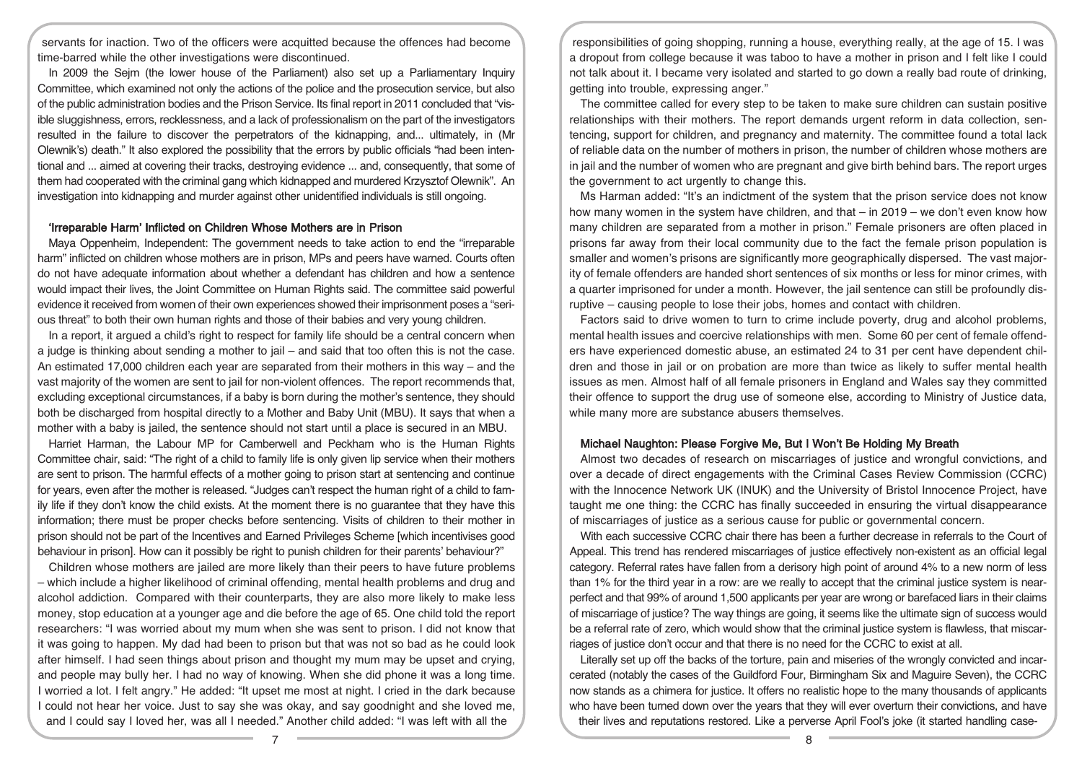servants for inaction. Two of the officers were acquitted because the offences had become time-barred while the other investigations were discontinued.

In 2009 the Sejm (the lower house of the Parliament) also set up a Parliamentary Inquiry Committee, which examined not only the actions of the police and the prosecution service, but also of the public administration bodies and the Prison Service. Its final report in 2011 concluded that "visible sluggishness, errors, recklessness, and a lack of professionalism on the part of the investigators resulted in the failure to discover the perpetrators of the kidnapping, and... ultimately, in (Mr Olewnik's) death." It also explored the possibility that the errors by public officials "had been intentional and ... aimed at covering their tracks, destroying evidence ... and, consequently, that some of them had cooperated with the criminal gang which kidnapped and murdered Krzysztof Olewnik". An investigation into kidnapping and murder against other unidentified individuals is still ongoing.

# 'Irreparable Harm' Inflicted on Children Whose Mothers are in Prison

Maya Oppenheim, Independent: The government needs to take action to end the "irreparable harm" inflicted on children whose mothers are in prison, MPs and peers have warned. Courts often do not have adequate information about whether a defendant has children and how a sentence would impact their lives, the Joint Committee on Human Rights said. The committee said powerful evidence it received from women of their own experiences showed their imprisonment poses a "serious threat" to both their own human rights and those of their babies and very young children.

In a report, it argued a child's right to respect for family life should be a central concern when a judge is thinking about sending a mother to jail – and said that too often this is not the case. An estimated 17,000 children each year are separated from their mothers in this way – and the vast majority of the women are sent to jail for non-violent offences. The report recommends that, excluding exceptional circumstances, if a baby is born during the mother's sentence, they should both be discharged from hospital directly to a Mother and Baby Unit (MBU). It says that when a mother with a baby is jailed, the sentence should not start until a place is secured in an MBU.

Harriet Harman, the Labour MP for Camberwell and Peckham who is the Human Rights Committee chair, said: "The right of a child to family life is only given lip service when their mothers are sent to prison. The harmful effects of a mother going to prison start at sentencing and continue for years, even after the mother is released. "Judges can't respect the human right of a child to family life if they don't know the child exists. At the moment there is no guarantee that they have this information; there must be proper checks before sentencing. Visits of children to their mother in prison should not be part of the Incentives and Earned Privileges Scheme [which incentivises good behaviour in prison]. How can it possibly be right to punish children for their parents' behaviour?"

Children whose mothers are jailed are more likely than their peers to have future problems – which include a higher likelihood of criminal offending, mental health problems and drug and alcohol addiction. Compared with their counterparts, they are also more likely to make less money, stop education at a younger age and die before the age of 65. One child told the report researchers: "I was worried about my mum when she was sent to prison. I did not know that it was going to happen. My dad had been to prison but that was not so bad as he could look after himself. I had seen things about prison and thought my mum may be upset and crying, and people may bully her. I had no way of knowing. When she did phone it was a long time. I worried a lot. I felt angry." He added: "It upset me most at night. I cried in the dark because I could not hear her voice. Just to say she was okay, and say goodnight and she loved me, and I could say I loved her, was all I needed." Another child added: "I was left with all the

responsibilities of going shopping, running a house, everything really, at the age of 15. I was a dropout from college because it was taboo to have a mother in prison and I felt like I could not talk about it. I became very isolated and started to go down a really bad route of drinking, getting into trouble, expressing anger."

The committee called for every step to be taken to make sure children can sustain positive relationships with their mothers. The report demands urgent reform in data collection, sentencing, support for children, and pregnancy and maternity. The committee found a total lack of reliable data on the number of mothers in prison, the number of children whose mothers are in jail and the number of women who are pregnant and give birth behind bars. The report urges the government to act urgently to change this.

Ms Harman added: "It's an indictment of the system that the prison service does not know how many women in the system have children, and that – in 2019 – we don't even know how many children are separated from a mother in prison." Female prisoners are often placed in prisons far away from their local community due to the fact the female prison population is smaller and women's prisons are significantly more geographically dispersed. The vast majority of female offenders are handed short sentences of six months or less for minor crimes, with a quarter imprisoned for under a month. However, the jail sentence can still be profoundly disruptive – causing people to lose their jobs, homes and contact with children.

Factors said to drive women to turn to crime include poverty, drug and alcohol problems, mental health issues and coercive relationships with men. Some 60 per cent of female offenders have experienced domestic abuse, an estimated 24 to 31 per cent have dependent children and those in jail or on probation are more than twice as likely to suffer mental health issues as men. Almost half of all female prisoners in England and Wales say they committed their offence to support the drug use of someone else, according to Ministry of Justice data, while many more are substance abusers themselves.

#### Michael Naughton: Please Forgive Me, But I Won't Be Holding My Breath

Almost two decades of research on miscarriages of justice and wrongful convictions, and over a decade of direct engagements with the Criminal Cases Review Commission (CCRC) with the Innocence Network UK (INUK) and the University of Bristol Innocence Project, have taught me one thing: the CCRC has finally succeeded in ensuring the virtual disappearance of miscarriages of justice as a serious cause for public or governmental concern.

With each successive CCRC chair there has been a further decrease in referrals to the Court of Appeal. This trend has rendered miscarriages of justice effectively non-existent as an official legal category. Referral rates have fallen from a derisory high point of around 4% to a new norm of less than 1% for the third year in a row: are we really to accept that the criminal justice system is nearperfect and that 99% of around 1,500 applicants per year are wrong or barefaced liars in their claims of miscarriage of justice? The way things are going, it seems like the ultimate sign of success would be a referral rate of zero, which would show that the criminal justice system is flawless, that miscarriages of justice don't occur and that there is no need for the CCRC to exist at all.

Literally set up off the backs of the torture, pain and miseries of the wrongly convicted and incarcerated (notably the cases of the Guildford Four, Birmingham Six and Maguire Seven), the CCRC now stands as a chimera for justice. It offers no realistic hope to the many thousands of applicants who have been turned down over the years that they will ever overturn their convictions, and have their lives and reputations restored. Like a perverse April Fool's joke (it started handling case-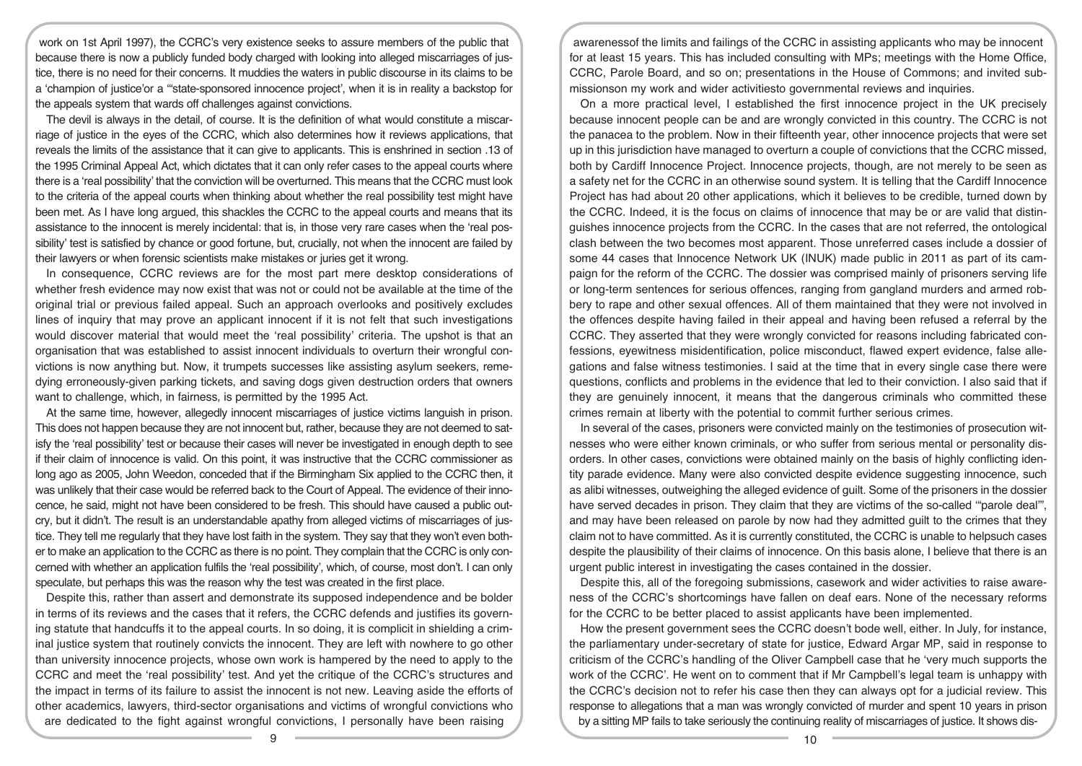work on 1st April 1997), the CCRC's very existence seeks to assure members of the public that because there is now a publicly funded body charged with looking into alleged miscarriages of justice, there is no need for their concerns. It muddies the waters in public discourse in its claims to be a 'champion of justice'or a '"state-sponsored innocence project', when it is in reality a backstop for the appeals system that wards off challenges against convictions.

The devil is always in the detail, of course. It is the definition of what would constitute a miscarriage of justice in the eyes of the CCRC, which also determines how it reviews applications, that reveals the limits of the assistance that it can give to applicants. This is enshrined in section .13 of the 1995 Criminal Appeal Act, which dictates that it can only refer cases to the appeal courts where there is a 'real possibility' that the conviction will be overturned. This means that the CCRC must look to the criteria of the appeal courts when thinking about whether the real possibility test might have been met. As I have long argued, this shackles the CCRC to the appeal courts and means that its assistance to the innocent is merely incidental: that is, in those very rare cases when the 'real possibility' test is satisfied by chance or good fortune, but, crucially, not when the innocent are failed by their lawyers or when forensic scientists make mistakes or juries get it wrong.

In consequence, CCRC reviews are for the most part mere desktop considerations of whether fresh evidence may now exist that was not or could not be available at the time of the original trial or previous failed appeal. Such an approach overlooks and positively excludes lines of inquiry that may prove an applicant innocent if it is not felt that such investigations would discover material that would meet the 'real possibility' criteria. The upshot is that an organisation that was established to assist innocent individuals to overturn their wrongful convictions is now anything but. Now, it trumpets successes like assisting asylum seekers, remedying erroneously-given parking tickets, and saving dogs given destruction orders that owners want to challenge, which, in fairness, is permitted by the 1995 Act.

At the same time, however, allegedly innocent miscarriages of justice victims languish in prison. This does not happen because they are not innocent but, rather, because they are not deemed to satisfy the 'real possibility' test or because their cases will never be investigated in enough depth to see if their claim of innocence is valid. On this point, it was instructive that the CCRC commissioner as long ago as 2005, John Weedon, conceded that if the Birmingham Six applied to the CCRC then, it was unlikely that their case would be referred back to the Court of Appeal. The evidence of their innocence, he said, might not have been considered to be fresh. This should have caused a public outcry, but it didn't. The result is an understandable apathy from alleged victims of miscarriages of justice. They tell me regularly that they have lost faith in the system. They say that they won't even bother to make an application to the CCRC as there is no point. They complain that the CCRC is only concerned with whether an application fulfils the 'real possibility', which, of course, most don't. I can only speculate, but perhaps this was the reason why the test was created in the first place.

Despite this, rather than assert and demonstrate its supposed independence and be bolder in terms of its reviews and the cases that it refers, the CCRC defends and justifies its governing statute that handcuffs it to the appeal courts. In so doing, it is complicit in shielding a criminal justice system that routinely convicts the innocent. They are left with nowhere to go other than university innocence projects, whose own work is hampered by the need to apply to the CCRC and meet the 'real possibility' test. And yet the critique of the CCRC's structures and the impact in terms of its failure to assist the innocent is not new. Leaving aside the efforts of other academics, lawyers, third-sector organisations and victims of wrongful convictions who are dedicated to the fight against wrongful convictions, I personally have been raising

awarenessof the limits and failings of the CCRC in assisting applicants who may be innocent for at least 15 years. This has included consulting with MPs; meetings with the Home Office, CCRC, Parole Board, and so on; presentations in the House of Commons; and invited submissionson my work and wider activitiesto governmental reviews and inquiries.

On a more practical level, I established the first innocence project in the UK precisely because innocent people can be and are wrongly convicted in this country. The CCRC is not the panacea to the problem. Now in their fifteenth year, other innocence projects that were set up in this jurisdiction have managed to overturn a couple of convictions that the CCRC missed, both by Cardiff Innocence Project. Innocence projects, though, are not merely to be seen as a safety net for the CCRC in an otherwise sound system. It is telling that the Cardiff Innocence Project has had about 20 other applications, which it believes to be credible, turned down by the CCRC. Indeed, it is the focus on claims of innocence that may be or are valid that distinguishes innocence projects from the CCRC. In the cases that are not referred, the ontological clash between the two becomes most apparent. Those unreferred cases include a dossier of some 44 cases that Innocence Network UK (INUK) made public in 2011 as part of its campaign for the reform of the CCRC. The dossier was comprised mainly of prisoners serving life or long-term sentences for serious offences, ranging from gangland murders and armed robbery to rape and other sexual offences. All of them maintained that they were not involved in the offences despite having failed in their appeal and having been refused a referral by the CCRC. They asserted that they were wrongly convicted for reasons including fabricated confessions, eyewitness misidentification, police misconduct, flawed expert evidence, false allegations and false witness testimonies. I said at the time that in every single case there were questions, conflicts and problems in the evidence that led to their conviction. I also said that if they are genuinely innocent, it means that the dangerous criminals who committed these crimes remain at liberty with the potential to commit further serious crimes.

In several of the cases, prisoners were convicted mainly on the testimonies of prosecution witnesses who were either known criminals, or who suffer from serious mental or personality disorders. In other cases, convictions were obtained mainly on the basis of highly conflicting identity parade evidence. Many were also convicted despite evidence suggesting innocence, such as alibi witnesses, outweighing the alleged evidence of guilt. Some of the prisoners in the dossier have served decades in prison. They claim that they are victims of the so-called "parole deal", and may have been released on parole by now had they admitted guilt to the crimes that they claim not to have committed. As it is currently constituted, the CCRC is unable to helpsuch cases despite the plausibility of their claims of innocence. On this basis alone, I believe that there is an urgent public interest in investigating the cases contained in the dossier.

Despite this, all of the foregoing submissions, casework and wider activities to raise awareness of the CCRC's shortcomings have fallen on deaf ears. None of the necessary reforms for the CCRC to be better placed to assist applicants have been implemented.

How the present government sees the CCRC doesn't bode well, either. In July, for instance, the parliamentary under-secretary of state for justice, Edward Argar MP, said in response to criticism of the CCRC's handling of the Oliver Campbell case that he 'very much supports the work of the CCRC'. He went on to comment that if Mr Campbell's legal team is unhappy with the CCRC's decision not to refer his case then they can always opt for a judicial review. This response to allegations that a man was wrongly convicted of murder and spent 10 years in prison by a sitting MP fails to take seriously the continuing reality of miscarriages of justice. It shows dis-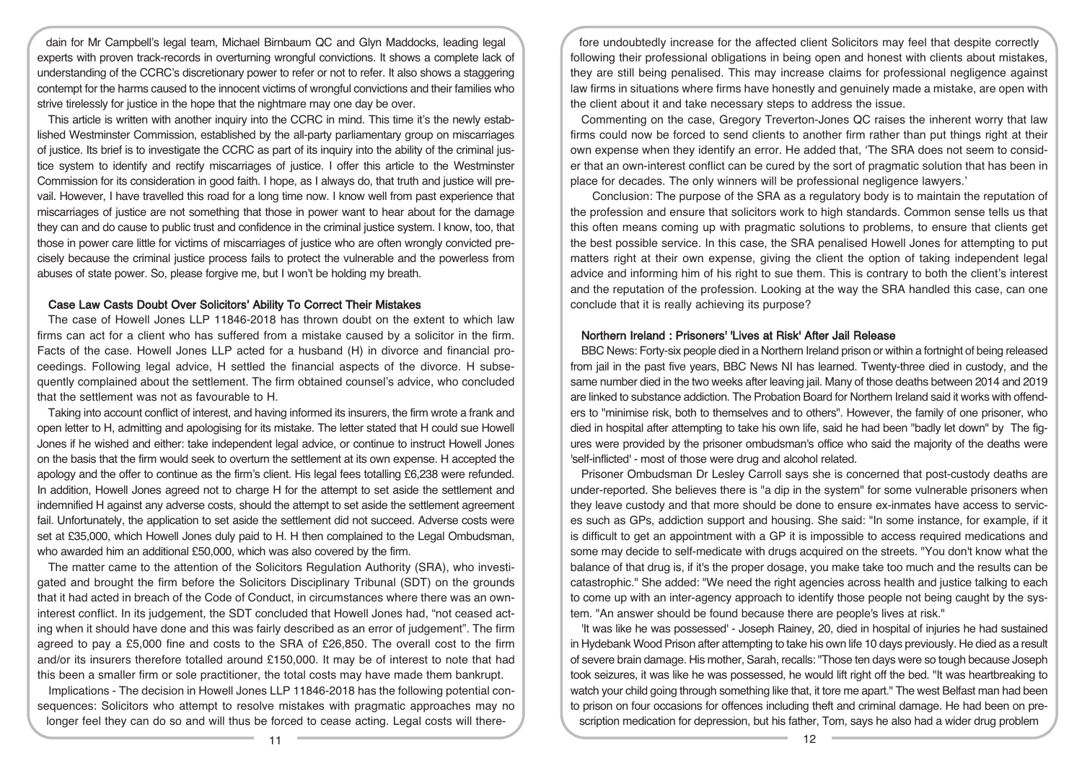dain for Mr Campbell's legal team, Michael Birnbaum QC and Glyn Maddocks, leading legal experts with proven track-records in overturning wrongful convictions. It shows a complete lack of understanding of the CCRC's discretionary power to refer or not to refer. It also shows a staggering contempt for the harms caused to the innocent victims of wrongful convictions and their families who strive tirelessly for justice in the hope that the nightmare may one day be over.

This article is written with another inquiry into the CCRC in mind. This time it's the newly established Westminster Commission, established by the all-party parliamentary group on miscarriages of justice. Its brief is to investigate the CCRC as part of its inquiry into the ability of the criminal justice system to identify and rectify miscarriages of justice. I offer this article to the Westminster Commission for its consideration in good faith. I hope, as I always do, that truth and justice will prevail. However, I have travelled this road for a long time now. I know well from past experience that miscarriages of justice are not something that those in power want to hear about for the damage they can and do cause to public trust and confidence in the criminal justice system. I know, too, that those in power care little for victims of miscarriages of justice who are often wrongly convicted precisely because the criminal justice process fails to protect the vulnerable and the powerless from abuses of state power. So, please forgive me, but I won't be holding my breath.

#### Case Law Casts Doubt Over Solicitors' Ability To Correct Their Mistakes

The case of Howell Jones LLP 11846-2018 has thrown doubt on the extent to which law firms can act for a client who has suffered from a mistake caused by a solicitor in the firm. Facts of the case. Howell Jones LLP acted for a husband (H) in divorce and financial proceedings. Following legal advice, H settled the financial aspects of the divorce. H subsequently complained about the settlement. The firm obtained counsel's advice, who concluded that the settlement was not as favourable to H.

Taking into account conflict of interest, and having informed its insurers, the firm wrote a frank and open letter to H, admitting and apologising for its mistake. The letter stated that H could sue Howell Jones if he wished and either: take independent legal advice, or continue to instruct Howell Jones on the basis that the firm would seek to overturn the settlement at its own expense. H accepted the apology and the offer to continue as the firm's client. His legal fees totalling £6,238 were refunded. In addition, Howell Jones agreed not to charge H for the attempt to set aside the settlement and indemnified H against any adverse costs, should the attempt to set aside the settlement agreement fail. Unfortunately, the application to set aside the settlement did not succeed. Adverse costs were set at £35,000, which Howell Jones duly paid to H. H then complained to the Legal Ombudsman, who awarded him an additional £50,000, which was also covered by the firm.

The matter came to the attention of the Solicitors Regulation Authority (SRA), who investigated and brought the firm before the Solicitors Disciplinary Tribunal (SDT) on the grounds that it had acted in breach of the Code of Conduct, in circumstances where there was an owninterest conflict. In its judgement, the SDT concluded that Howell Jones had, "not ceased acting when it should have done and this was fairly described as an error of judgement". The firm agreed to pay a £5,000 fine and costs to the SRA of £26,850. The overall cost to the firm and/or its insurers therefore totalled around £150,000. It may be of interest to note that had this been a smaller firm or sole practitioner, the total costs may have made them bankrupt.

Implications - The decision in Howell Jones LLP 11846-2018 has the following potential consequences: Solicitors who attempt to resolve mistakes with pragmatic approaches may no longer feel they can do so and will thus be forced to cease acting. Legal costs will there-

fore undoubtedly increase for the affected client Solicitors may feel that despite correctly following their professional obligations in being open and honest with clients about mistakes, they are still being penalised. This may increase claims for professional negligence against law firms in situations where firms have honestly and genuinely made a mistake, are open with the client about it and take necessary steps to address the issue.

Commenting on the case, Gregory Treverton-Jones QC raises the inherent worry that law firms could now be forced to send clients to another firm rather than put things right at their own expense when they identify an error. He added that, 'The SRA does not seem to consider that an own-interest conflict can be cured by the sort of pragmatic solution that has been in place for decades. The only winners will be professional negligence lawyers.'

Conclusion: The purpose of the SRA as a regulatory body is to maintain the reputation of the profession and ensure that solicitors work to high standards. Common sense tells us that this often means coming up with pragmatic solutions to problems, to ensure that clients get the best possible service. In this case, the SRA penalised Howell Jones for attempting to put matters right at their own expense, giving the client the option of taking independent legal advice and informing him of his right to sue them. This is contrary to both the client's interest and the reputation of the profession. Looking at the way the SRA handled this case, can one conclude that it is really achieving its purpose?

# Northern Ireland : Prisoners' 'Lives at Risk' After Jail Release

BBC News: Forty-six people died in a Northern Ireland prison or within a fortnight of being released from jail in the past five years, BBC News NI has learned. Twenty-three died in custody, and the same number died in the two weeks after leaving jail. Many of those deaths between 2014 and 2019 are linked to substance addiction. The Probation Board for Northern Ireland said it works with offenders to "minimise risk, both to themselves and to others". However, the family of one prisoner, who died in hospital after attempting to take his own life, said he had been "badly let down" by The figures were provided by the prisoner ombudsman's office who said the majority of the deaths were 'self-inflicted' - most of those were drug and alcohol related.

Prisoner Ombudsman Dr Lesley Carroll says she is concerned that post-custody deaths are under-reported. She believes there is "a dip in the system" for some vulnerable prisoners when they leave custody and that more should be done to ensure ex-inmates have access to services such as GPs, addiction support and housing. She said: "In some instance, for example, if it is difficult to get an appointment with a GP it is impossible to access required medications and some may decide to self-medicate with drugs acquired on the streets. "You don't know what the balance of that drug is, if it's the proper dosage, you make take too much and the results can be catastrophic." She added: "We need the right agencies across health and justice talking to each to come up with an inter-agency approach to identify those people not being caught by the system. "An answer should be found because there are people's lives at risk."

'It was like he was possessed' - Joseph Rainey, 20, died in hospital of injuries he had sustained in Hydebank Wood Prison after attempting to take his own life 10 days previously. He died as a result of severe brain damage. His mother, Sarah, recalls: "Those ten days were so tough because Joseph took seizures, it was like he was possessed, he would lift right off the bed. "It was heartbreaking to watch your child going through something like that, it tore me apart." The west Belfast man had been to prison on four occasions for offences including theft and criminal damage. He had been on prescription medication for depression, but his father, Tom, says he also had a wider drug problem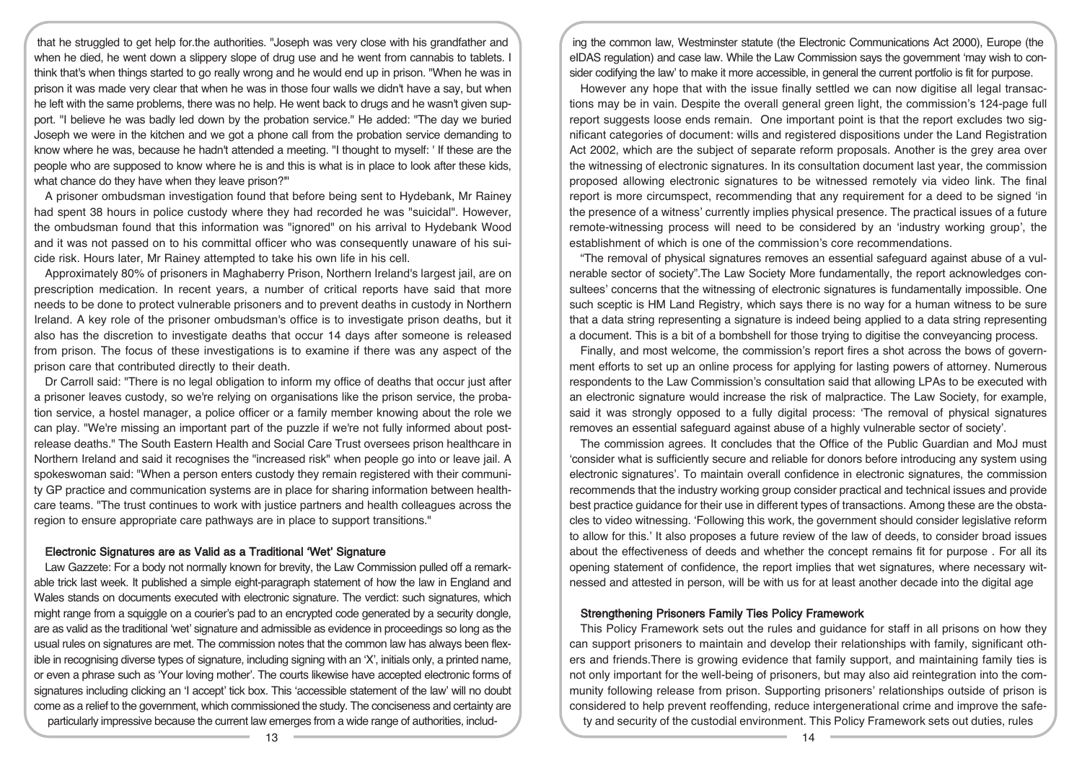that he struggled to get help for.the authorities. "Joseph was very close with his grandfather and when he died, he went down a slippery slope of drug use and he went from cannabis to tablets. I think that's when things started to go really wrong and he would end up in prison. "When he was in prison it was made very clear that when he was in those four walls we didn't have a say, but when he left with the same problems, there was no help. He went back to drugs and he wasn't given support. "I believe he was badly led down by the probation service." He added: "The day we buried Joseph we were in the kitchen and we got a phone call from the probation service demanding to know where he was, because he hadn't attended a meeting. "I thought to myself: ' If these are the people who are supposed to know where he is and this is what is in place to look after these kids, what chance do they have when they leave prison?"

A prisoner ombudsman investigation found that before being sent to Hydebank, Mr Rainey had spent 38 hours in police custody where they had recorded he was "suicidal". However, the ombudsman found that this information was "ignored" on his arrival to Hydebank Wood and it was not passed on to his committal officer who was consequently unaware of his suicide risk. Hours later, Mr Rainey attempted to take his own life in his cell.

Approximately 80% of prisoners in Maghaberry Prison, Northern Ireland's largest jail, are on prescription medication. In recent years, a number of critical reports have said that more needs to be done to protect vulnerable prisoners and to prevent deaths in custody in Northern Ireland. A key role of the prisoner ombudsman's office is to investigate prison deaths, but it also has the discretion to investigate deaths that occur 14 days after someone is released from prison. The focus of these investigations is to examine if there was any aspect of the prison care that contributed directly to their death.

Dr Carroll said: "There is no legal obligation to inform my office of deaths that occur just after a prisoner leaves custody, so we're relying on organisations like the prison service, the probation service, a hostel manager, a police officer or a family member knowing about the role we can play. "We're missing an important part of the puzzle if we're not fully informed about postrelease deaths." The South Eastern Health and Social Care Trust oversees prison healthcare in Northern Ireland and said it recognises the "increased risk" when people go into or leave jail. A spokeswoman said: "When a person enters custody they remain registered with their community GP practice and communication systems are in place for sharing information between healthcare teams. "The trust continues to work with justice partners and health colleagues across the region to ensure appropriate care pathways are in place to support transitions."

#### Electronic Signatures are as Valid as a Traditional 'Wet' Signature

Law Gazzete: For a body not normally known for brevity, the Law Commission pulled off a remarkable trick last week. It published a simple eight-paragraph statement of how the law in England and Wales stands on documents executed with electronic signature. The verdict: such signatures, which might range from a squiggle on a courier's pad to an encrypted code generated by a security dongle, are as valid as the traditional 'wet' signature and admissible as evidence in proceedings so long as the usual rules on signatures are met. The commission notes that the common law has always been flexible in recognising diverse types of signature, including signing with an 'X', initials only, a printed name, or even a phrase such as 'Your loving mother'. The courts likewise have accepted electronic forms of signatures including clicking an 'I accept' tick box. This 'accessible statement of the law' will no doubt come as a relief to the government, which commissioned the study. The conciseness and certainty are particularly impressive because the current law emerges from a wide range of authorities, includ-

ing the common law, Westminster statute (the Electronic Communications Act 2000), Europe (the eIDAS regulation) and case law. While the Law Commission says the government 'may wish to consider codifying the law' to make it more accessible, in general the current portfolio is fit for purpose.

However any hope that with the issue finally settled we can now digitise all legal transactions may be in vain. Despite the overall general green light, the commission's 124-page full report suggests loose ends remain. One important point is that the report excludes two significant categories of document: wills and registered dispositions under the Land Registration Act 2002, which are the subject of separate reform proposals. Another is the grey area over the witnessing of electronic signatures. In its consultation document last year, the commission proposed allowing electronic signatures to be witnessed remotely via video link. The final report is more circumspect, recommending that any requirement for a deed to be signed 'in the presence of a witness' currently implies physical presence. The practical issues of a future remote-witnessing process will need to be considered by an 'industry working group', the establishment of which is one of the commission's core recommendations.

"The removal of physical signatures removes an essential safeguard against abuse of a vulnerable sector of society".The Law Society More fundamentally, the report acknowledges consultees' concerns that the witnessing of electronic signatures is fundamentally impossible. One such sceptic is HM Land Registry, which says there is no way for a human witness to be sure that a data string representing a signature is indeed being applied to a data string representing a document. This is a bit of a bombshell for those trying to digitise the conveyancing process.

Finally, and most welcome, the commission's report fires a shot across the bows of government efforts to set up an online process for applying for lasting powers of attorney. Numerous respondents to the Law Commission's consultation said that allowing LPAs to be executed with an electronic signature would increase the risk of malpractice. The Law Society, for example, said it was strongly opposed to a fully digital process: 'The removal of physical signatures removes an essential safeguard against abuse of a highly vulnerable sector of society'.

The commission agrees. It concludes that the Office of the Public Guardian and MoJ must 'consider what is sufficiently secure and reliable for donors before introducing any system using electronic signatures'. To maintain overall confidence in electronic signatures, the commission recommends that the industry working group consider practical and technical issues and provide best practice guidance for their use in different types of transactions. Among these are the obstacles to video witnessing. 'Following this work, the government should consider legislative reform to allow for this.' It also proposes a future review of the law of deeds, to consider broad issues about the effectiveness of deeds and whether the concept remains fit for purpose . For all its opening statement of confidence, the report implies that wet signatures, where necessary witnessed and attested in person, will be with us for at least another decade into the digital age

#### Strengthening Prisoners Family Ties Policy Framework

This Policy Framework sets out the rules and guidance for staff in all prisons on how they can support prisoners to maintain and develop their relationships with family, significant others and friends.There is growing evidence that family support, and maintaining family ties is not only important for the well-being of prisoners, but may also aid reintegration into the community following release from prison. Supporting prisoners' relationships outside of prison is considered to help prevent reoffending, reduce intergenerational crime and improve the safety and security of the custodial environment. This Policy Framework sets out duties, rules